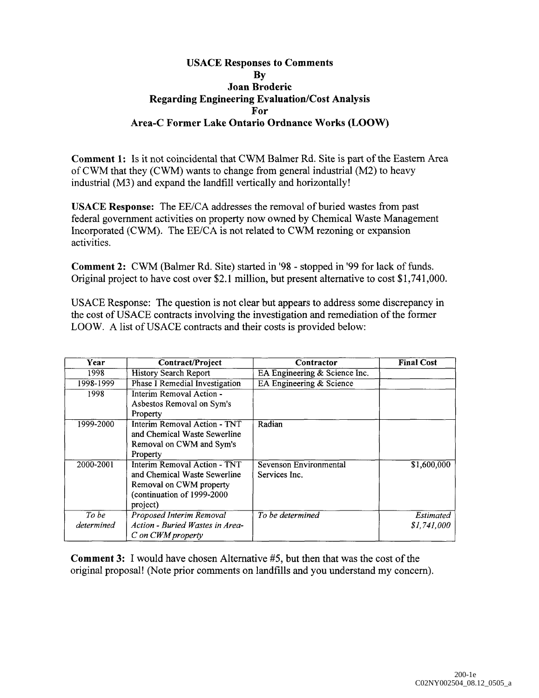## **USACE Responses to Comments By Joan Broderic Regarding Engineering Evaluation/Cost Analysis For Area-C Former Lake Ontario Ordnance Works (LOOW)**

**Comment 1:** Is it not coincidental that CWM Balmer Rd. Site is part of the Eastern Area of CWM that they (CWM) wants to change from general industrial (M2) to heavy industrial (M3) and expand the landfill vertically and horizontally!

USACE **Response:** The EE/CA addresses the removal of buried wastes from past federal government activities on property now owned by Chemical Waste Management Incorporated (CWM). The EE/CA is not related to CWM rezoning or expansion activities.

**Comment 2:** CWM (Balmer Rd. Site) started in '98 - stopped in '99 for lack of funds. Original project to have cost over \$2.1 million, but present alternative to cost \$1,741,000.

USACE Response: The question is not clear but appears to address some discrepancy in the cost of USACE contracts involving the investigation and remediation of the former LOOW. A list of USACE contracts and their costs is provided below:

| Year       | Contract/Project                | Contractor                    | <b>Final Cost</b> |
|------------|---------------------------------|-------------------------------|-------------------|
| 1998       | <b>History Search Report</b>    | EA Engineering & Science Inc. |                   |
| 1998-1999  | Phase I Remedial Investigation  | EA Engineering & Science      |                   |
| 1998       | Interim Removal Action -        |                               |                   |
|            | Asbestos Removal on Sym's       |                               |                   |
|            | Property                        |                               |                   |
| 1999-2000  | Interim Removal Action - TNT    | Radian                        |                   |
|            | and Chemical Waste Sewerline    |                               |                   |
|            | Removal on CWM and Sym's        |                               |                   |
|            | Property                        |                               |                   |
| 2000-2001  | Interim Removal Action - TNT    | <b>Sevenson Environmental</b> | \$1,600,000       |
|            | and Chemical Waste Sewerline    | Services Inc.                 |                   |
|            | Removal on CWM property         |                               |                   |
|            | (continuation of 1999-2000      |                               |                   |
|            | project)                        |                               |                   |
| To be      | Proposed Interim Removal        | To be determined              | Estimated         |
| determined | Action - Buried Wastes in Area- |                               | \$1,741,000       |
|            | C on CWM property               |                               |                   |

**Comment 3:** I would have chosen Alternative #5, but then that was the cost of the original proposal! (Note prior comments on landfills and you understand my concern).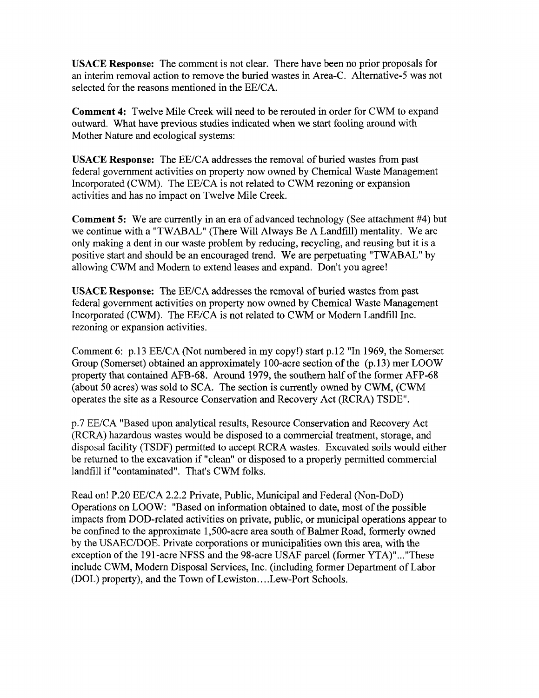**USACE Response:** The comment is not clear. There have been no prior proposals for an interim removal action to remove the buried wastes in Area-C. Alternative-5 was not selected for the reasons mentioned in the EE/CA.

**Comment 4:** Twelve Mile Creek will need to be rerouted in order for CWM to expand outward. What have previous studies indicated when we start fooling around with Mother Nature and ecological systems:

USACE **Response:** The EE/CA addresses the removal of buried wastes from past federal government activities on property now owned by Chemical Waste Management Incorporated (CWM). The EE/CA is not related to CWM rezoning or expansion activities and has no impact on Twelve Mile Creek.

**Comment 5:** We are currently in an era of advanced technology (See attachment #4) but we continue with a "TWABAL" (There Will Always Be A Landfill) mentality. We are only making a dent in our waste problem by reducing, recycling, and reusing but it is a positive start and should be an encouraged trend. We are perpetuating "TWABAL" by allowing CWM and Modern to extend leases and expand. Don't you agree!

USACE **Response:** The EE/CA addresses the removal of buried wastes from past federal government activities on property now owned by Chemical Waste Management Incorporated (CWM). The EE/CA is not related to CWM or Modern Landfill Inc. rezoning or expansion activities.

Comment 6: p.13 EE/CA (Not numbered in my copy!) start p.12 "In 1969, the Somerset Group (Somerset) obtained an approximately 100-acre section of the (p. 13) mer LOOW property that contained AFB-68. Around 1979, the southern half of the former AFP-68 (about 50 acres) was sold to SCA. The section is currently owned by CWM, (CWM operates the site as a Resource Conservation and Recovery Act (RCRA) TSDE".

p.7 EE/CA "Based upon analytical results, Resource Conservation and Recovery Act (RCRA) hazardous wastes would be disposed to a commercial treatment, storage, and disposal facility (TSDF) permitted to accept RCRA wastes. Excavated soils would either be returned to the excavation if "clean" or disposed to a properly permitted commercial landfill if "contaminated". That's CWM folks.

Read on! P.20 EE/CA 2.2.2 Private, Public, Municipal and Federal (Non-DoD) Operations on LOOW: "Based on information obtained to date, most of the possible impacts from DOD-related activities on private, public, or municipal operations appear to be confined to the approximate 1,500-acre area south of Balmer Road, formerly owned by the USAEC/DOE. Private corporations or municipalities own this area, with the exception of the 191-acre NFSS and the 98-acre USAF parcel (former YTA)"..."These include CWM, Modern Disposal Services, Inc. (including former Department of Labor (DOL) property), and the Town of Lewiston....Lew-Port Schools.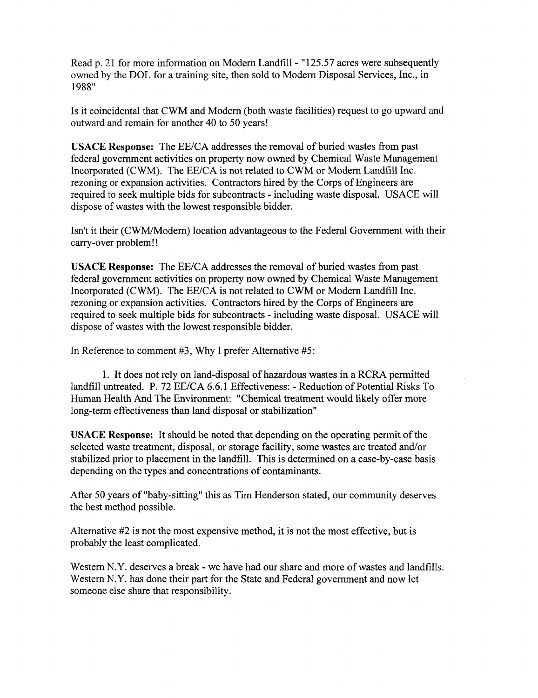Read p. 21 for more information on Modern Landfill - "125.57 acres were subsequently owned by the DOL for a training site, then sold to Modern Disposal Services, Inc., in 1988"

Is it coincidental that CWM and Modern (both waste facilities) request to go upward and outward and remain for another 40 to 50 years!

**USACE Response:** The EE/CA addresses the removal of buried wastes from past federal government activities on property now owned by Chemical Waste Management Incorporated (CWM). The EE/CA is not related to CWM or Modern Landfill Inc. rezoning or expansion activities. Contractors hired by the Corps of Engineers are required to seek multiple bids for subcontracts - including waste disposal. USACE will dispose of wastes with the lowest responsible bidder.

Isn't it their (CWM/Modern) location advantageous to the Federal Government with their carry-over problem!!

USACE **Response:** The EE/CA addresses the removal of buried wastes from past federal government activities on property now owned by Chemical Waste Management Incorporated (CWM). The EE/CA is not related to CWM or Modern Landfill Inc. rezoning or expansion activities. Contractors hired by the Corps of Engineers are required to seek multiple bids for subcontracts - including waste disposal. USACE will dispose of wastes with the lowest responsible bidder.

In Reference to comment #3, Why I prefer Alternative #5:

1. It does not rely on land-disposal of hazardous wastes in a RCRA permitted landfill untreated. P. 72 EE/CA 6.6.1 Effectiveness: - Reduction of Potential Risks To Human Health And The Environment: "Chemical treatment would likely offer more long-term effectiveness than land disposal or stabilization"

**USACE Response:** It should be noted that depending on the operating permit of the selected waste treatment, disposal, or storage facility, some wastes are treated and/or stabilized prior to placement in the landfill. This is determined on a case-by-case basis depending on the types and concentrations of contaminants.

After 50 years of "baby-sitting" this as Tim Henderson stated, our community deserves the best method possible.

Alternative #2 is not the most expensive method, it is not the most effective, but is probably the least complicated.

Western N.Y. deserves a break - we have had our share and more of wastes and landfills. Western N.Y. has done their part for the State and Federal government and now let someone else share that responsibility.